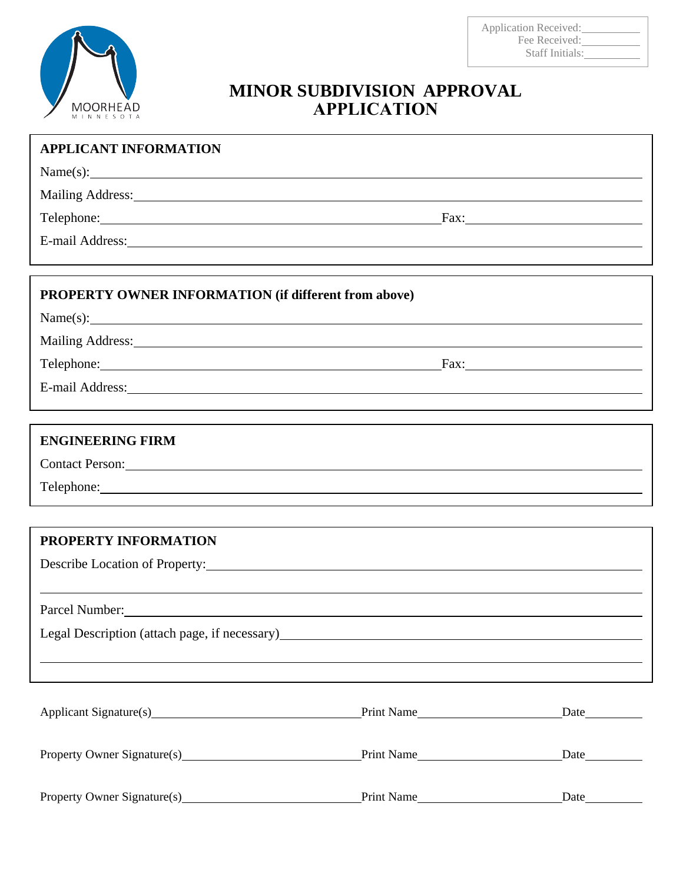

# **MINOR SUBDIVISION APPROVAL APPLICATION**

| <b>APPLICANT INFORMATION</b>                                                                                   |  |      |
|----------------------------------------------------------------------------------------------------------------|--|------|
| Name(s):                                                                                                       |  |      |
| Mailing Address: 1988 and 2008 and 2008 and 2008 and 2008 and 2008 and 2008 and 2008 and 2008 and 2008 and 200 |  |      |
| Telephone: Fax: Fax:                                                                                           |  |      |
| E-mail Address: Note and Address and Address and Address and Address and Address and Address and Address and A |  |      |
|                                                                                                                |  |      |
| PROPERTY OWNER INFORMATION (if different from above)                                                           |  |      |
| Name(s):                                                                                                       |  |      |
| Mailing Address: Mailing Address: All and Mailing Address: All and Mailing Address:                            |  |      |
| Telephone: Fax: Fax:                                                                                           |  |      |
| E-mail Address: Note and Address and Address and Address and Address and Address and Address and Address and A |  |      |
| ,我们也不会有什么。""我们的人,我们也不会有什么?""我们的人,我们也不会有什么?""我们的人,我们也不会有什么?""我们的人,我们也不会有什么?""我们的人                               |  |      |
| <b>ENGINEERING FIRM</b>                                                                                        |  |      |
| Contact Person:                                                                                                |  |      |
|                                                                                                                |  |      |
|                                                                                                                |  |      |
| PROPERTY INFORMATION                                                                                           |  |      |
|                                                                                                                |  |      |
|                                                                                                                |  |      |
| Parcel Number:                                                                                                 |  |      |
| Legal Description (attach page, if necessary) ___________________________________                              |  |      |
|                                                                                                                |  |      |
|                                                                                                                |  |      |
| Applicant Signature(s) Print Name                                                                              |  | Date |
|                                                                                                                |  |      |
| Property Owner Signature(s) Print Name                                                                         |  |      |
|                                                                                                                |  |      |
|                                                                                                                |  |      |

Property Owner Signature(s) Property Owner Signature(s) Print Name